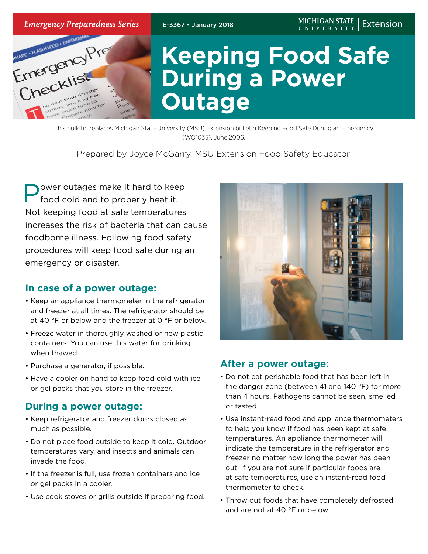

This bulletin replaces Michigan State University (MSU) Extension bulletin Keeping Food Safe During an Emergency (WO1035), June 2006.

## Prepared by Joyce McGarry, MSU Extension Food Safety Educator.

ower outages make it hard to keep food cold and to properly heat it. Not keeping food at safe temperatures increases the risk of bacteria that can cause foodborne illness. Following food safety procedures will keep food safe during an emergency or disaster.

## **In case of a power outage:**

- Keep an appliance thermometer in the refrigerator and freezer at all times. The refrigerator should be at 40 °F or below and the freezer at 0 °F or below.
- Freeze water in thoroughly washed or new plastic containers. You can use this water for drinking when thawed.
- Purchase a generator, if possible.
- Have a cooler on hand to keep food cold with ice or gel packs that you store in the freezer.

## **During a power outage:**

- Keep refrigerator and freezer doors closed as much as possible.
- Do not place food outside to keep it cold. Outdoor temperatures vary, and insects and animals can invade the food.
- If the freezer is full, use frozen containers and ice or gel packs in a cooler.
- Use cook stoves or grills outside if preparing food.



#### **After a power outage:**

- Do not eat perishable food that has been left in the danger zone (between 41 and 140 °F) for more than 4 hours. Pathogens cannot be seen, smelled or tasted.
- Use instant-read food and appliance thermometers to help you know if food has been kept at safe temperatures. An appliance thermometer will indicate the temperature in the refrigerator and freezer no matter how long the power has been out. If you are not sure if particular foods are at safe temperatures, use an instant-read food thermometer to check.
- Throw out foods that have completely defrosted and are not at 40 °F or below.